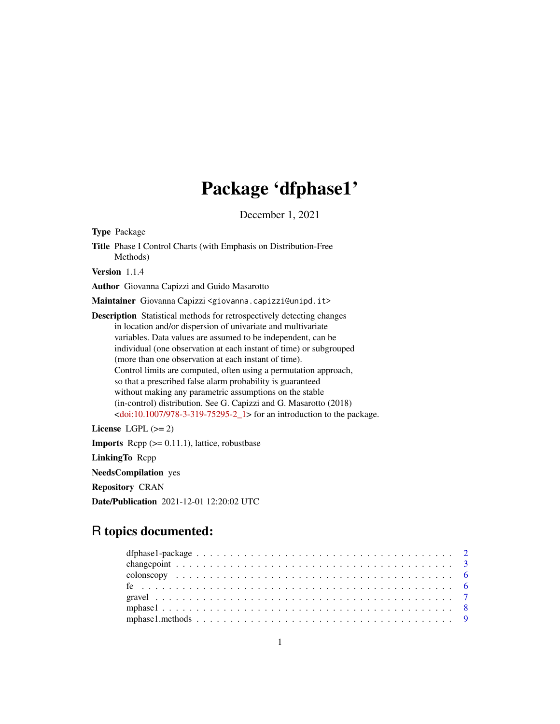# Package 'dfphase1'

December 1, 2021

Type Package

Title Phase I Control Charts (with Emphasis on Distribution-Free Methods)

Version 1.1.4

Author Giovanna Capizzi and Guido Masarotto

Maintainer Giovanna Capizzi <giovanna.capizzi@unipd.it>

Description Statistical methods for retrospectively detecting changes in location and/or dispersion of univariate and multivariate variables. Data values are assumed to be independent, can be individual (one observation at each instant of time) or subgrouped (more than one observation at each instant of time). Control limits are computed, often using a permutation approach, so that a prescribed false alarm probability is guaranteed without making any parametric assumptions on the stable (in-control) distribution. See G. Capizzi and G. Masarotto (2018)  $\le$ doi:10.1007/978-3-319-75295-2\_1> for an introduction to the package.

License LGPL  $(>= 2)$ **Imports** Rcpp  $(>= 0.11.1)$ , lattice, robustbase LinkingTo Rcpp NeedsCompilation yes Repository CRAN Date/Publication 2021-12-01 12:20:02 UTC

# R topics documented: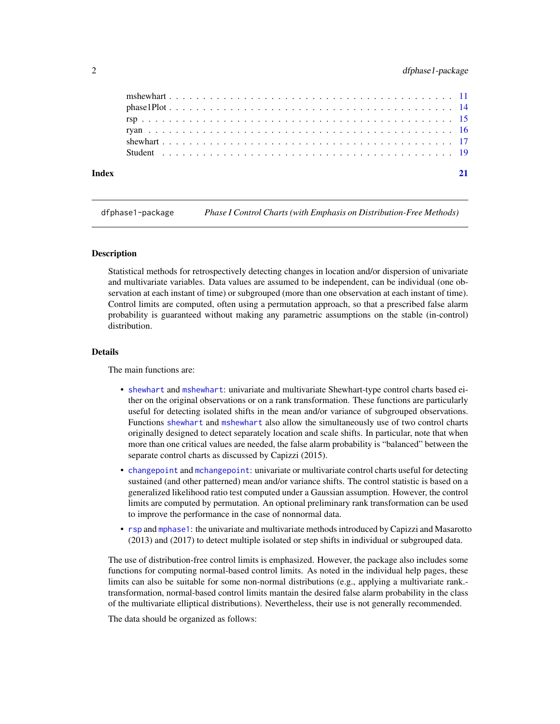<span id="page-1-0"></span>

| Index |                                                                                                         |  |  |  |  |  |  |  |  |  |  |  |  |  |  |  |  |  |  |  |  |  |  |
|-------|---------------------------------------------------------------------------------------------------------|--|--|--|--|--|--|--|--|--|--|--|--|--|--|--|--|--|--|--|--|--|--|
|       |                                                                                                         |  |  |  |  |  |  |  |  |  |  |  |  |  |  |  |  |  |  |  |  |  |  |
|       |                                                                                                         |  |  |  |  |  |  |  |  |  |  |  |  |  |  |  |  |  |  |  |  |  |  |
|       |                                                                                                         |  |  |  |  |  |  |  |  |  |  |  |  |  |  |  |  |  |  |  |  |  |  |
|       |                                                                                                         |  |  |  |  |  |  |  |  |  |  |  |  |  |  |  |  |  |  |  |  |  |  |
|       | $phase1Plot \ldots \ldots \ldots \ldots \ldots \ldots \ldots \ldots \ldots \ldots \ldots \ldots \ldots$ |  |  |  |  |  |  |  |  |  |  |  |  |  |  |  |  |  |  |  |  |  |  |
|       |                                                                                                         |  |  |  |  |  |  |  |  |  |  |  |  |  |  |  |  |  |  |  |  |  |  |

dfphase1-package *Phase I Control Charts (with Emphasis on Distribution-Free Methods)*

#### **Description**

Statistical methods for retrospectively detecting changes in location and/or dispersion of univariate and multivariate variables. Data values are assumed to be independent, can be individual (one observation at each instant of time) or subgrouped (more than one observation at each instant of time). Control limits are computed, often using a permutation approach, so that a prescribed false alarm probability is guaranteed without making any parametric assumptions on the stable (in-control) distribution.

#### Details

The main functions are:

- [shewhart](#page-16-1) and [mshewhart](#page-10-1): univariate and multivariate Shewhart-type control charts based either on the original observations or on a rank transformation. These functions are particularly useful for detecting isolated shifts in the mean and/or variance of subgrouped observations. Functions [shewhart](#page-16-1) and [mshewhart](#page-10-1) also allow the simultaneously use of two control charts originally designed to detect separately location and scale shifts. In particular, note that when more than one critical values are needed, the false alarm probability is "balanced" between the separate control charts as discussed by Capizzi (2015).
- [changepoint](#page-2-1) and [mchangepoint](#page-2-2): univariate or multivariate control charts useful for detecting sustained (and other patterned) mean and/or variance shifts. The control statistic is based on a generalized likelihood ratio test computed under a Gaussian assumption. However, the control limits are computed by permutation. An optional preliminary rank transformation can be used to improve the performance in the case of nonnormal data.
- [rsp](#page-14-1) and [mphase1](#page-7-1): the univariate and multivariate methods introduced by Capizzi and Masarotto (2013) and (2017) to detect multiple isolated or step shifts in individual or subgrouped data.

The use of distribution-free control limits is emphasized. However, the package also includes some functions for computing normal-based control limits. As noted in the individual help pages, these limits can also be suitable for some non-normal distributions (e.g., applying a multivariate rank. transformation, normal-based control limits mantain the desired false alarm probability in the class of the multivariate elliptical distributions). Nevertheless, their use is not generally recommended.

The data should be organized as follows: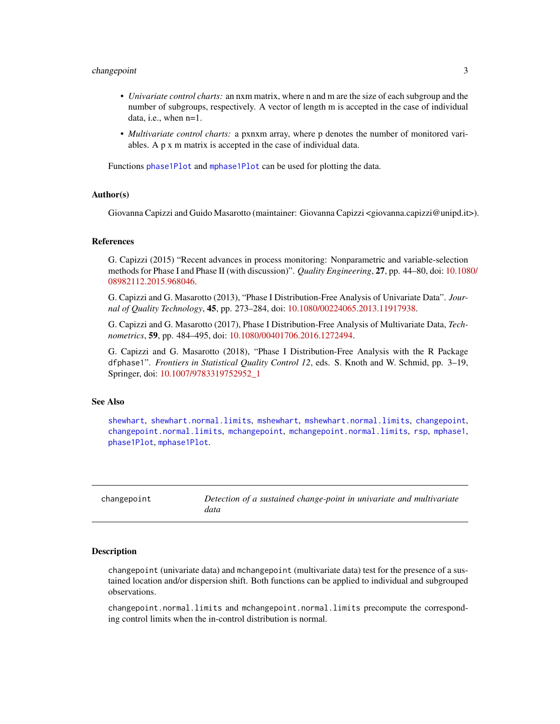# <span id="page-2-0"></span>changepoint 3

- *Univariate control charts:* an nxm matrix, where n and m are the size of each subgroup and the number of subgroups, respectively. A vector of length m is accepted in the case of individual data, i.e., when n=1.
- *Multivariate control charts:* a pxnxm array, where p denotes the number of monitored variables. A p x m matrix is accepted in the case of individual data.

Functions [phase1Plot](#page-13-1) and [mphase1Plot](#page-13-2) can be used for plotting the data.

#### Author(s)

Giovanna Capizzi and Guido Masarotto (maintainer: Giovanna Capizzi <giovanna.capizzi@unipd.it>).

#### References

G. Capizzi (2015) "Recent advances in process monitoring: Nonparametric and variable-selection methods for Phase I and Phase II (with discussion)". *Quality Engineering*, 27, pp. 44–80, doi: [10.108](https://doi.org/10.1080/08982112.2015.968046)0/ [08982112.2015.968046.](https://doi.org/10.1080/08982112.2015.968046)

G. Capizzi and G. Masarotto (2013), "Phase I Distribution-Free Analysis of Univariate Data". *Journal of Quality Technology*, 45, pp. 273–284, doi: [10.1080/00224065.2013.11917938.](https://doi.org/10.1080/00224065.2013.11917938)

G. Capizzi and G. Masarotto (2017), Phase I Distribution-Free Analysis of Multivariate Data, *Technometrics*, 59, pp. 484–495, doi: [10.1080/00401706.2016.1272494.](https://doi.org/10.1080/00401706.2016.1272494)

G. Capizzi and G. Masarotto (2018), "Phase I Distribution-Free Analysis with the R Package dfphase1". *Frontiers in Statistical Quality Control 12*, eds. S. Knoth and W. Schmid, pp. 3–19, Springer, doi: [10.1007/9783319752952\\_1](https://doi.org/10.1007/978-3-319-75295-2_1)

### See Also

[shewhart](#page-16-1), [shewhart.normal.limits](#page-16-2), [mshewhart](#page-10-1), [mshewhart.normal.limits](#page-10-2), [changepoint](#page-2-1), [changepoint.normal.limits](#page-2-2), [mchangepoint](#page-2-2), [mchangepoint.normal.limits](#page-2-2), [rsp](#page-14-1), [mphase1](#page-7-1), [phase1Plot](#page-13-1), [mphase1Plot](#page-13-2).

<span id="page-2-1"></span>

| changepoint | Detection of a sustained change-point in univariate and multivariate |
|-------------|----------------------------------------------------------------------|
|             | data                                                                 |

#### <span id="page-2-2"></span>Description

changepoint (univariate data) and mchangepoint (multivariate data) test for the presence of a sustained location and/or dispersion shift. Both functions can be applied to individual and subgrouped observations.

changepoint.normal.limits and mchangepoint.normal.limits precompute the corresponding control limits when the in-control distribution is normal.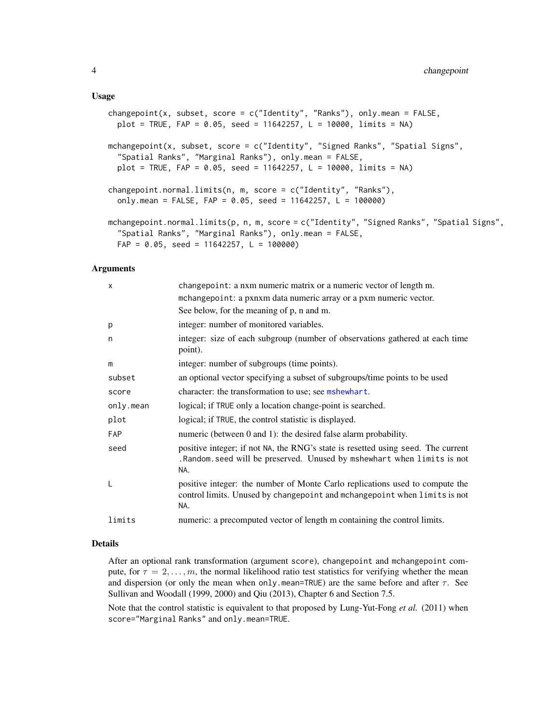#### <span id="page-3-0"></span>Usage

```
changepoint(x, subset, score = c("Identity", "Ranks"), only mean = FALSE,plot = TRUE, FAP = 0.05, seed = 11642257, L = 10000, limits = NA)
mchangepoint(x, subset, score = c("Identity", "Signed Ranks", "Spatial Signs",
  "Spatial Ranks", "Marginal Ranks"), only.mean = FALSE,
 plot = TRUE, FAP = 0.05, seed = 11642257, L = 10000, limits = NA)
changepoint.normal.limits(n, m, score = c("Identity", "Ranks"),
  only.mean = FALSE, FAP = 0.05, seed = 11642257, L = 100000)
mchangepoint.normal.limits(p, n, m, score = c("Identity", "Signed Ranks", "Spatial Signs",
  "Spatial Ranks", "Marginal Ranks"), only.mean = FALSE,
 FAP = 0.05, seed = 11642257, L = 100000)
```
#### Arguments

| X          | changepoint: a nxm numeric matrix or a numeric vector of length m.                                                                                                  |
|------------|---------------------------------------------------------------------------------------------------------------------------------------------------------------------|
|            | mchangepoint: a pxnxm data numeric array or a pxm numeric vector.                                                                                                   |
|            | See below, for the meaning of p, n and m.                                                                                                                           |
| p          | integer: number of monitored variables.                                                                                                                             |
| n          | integer: size of each subgroup (number of observations gathered at each time<br>point).                                                                             |
| m          | integer: number of subgroups (time points).                                                                                                                         |
| subset     | an optional vector specifying a subset of subgroups/time points to be used                                                                                          |
| score      | character: the transformation to use; see mshewhart.                                                                                                                |
| only.mean  | logical; if TRUE only a location change-point is searched.                                                                                                          |
| plot       | logical; if TRUE, the control statistic is displayed.                                                                                                               |
| <b>FAP</b> | numeric (between 0 and 1): the desired false alarm probability.                                                                                                     |
| seed       | positive integer; if not NA, the RNG's state is resetted using seed. The current<br>. Random. seed will be preserved. Unused by mshewhart when limits is not<br>NA. |
| L          | positive integer: the number of Monte Carlo replications used to compute the<br>control limits. Unused by changepoint and mchangepoint when limits is not<br>NA.    |
| limits     | numeric: a precomputed vector of length m containing the control limits.                                                                                            |

# Details

After an optional rank transformation (argument score), changepoint and mchangepoint compute, for  $\tau = 2, \ldots, m$ , the normal likelihood ratio test statistics for verifying whether the mean and dispersion (or only the mean when only mean=TRUE) are the same before and after  $\tau$ . See Sullivan and Woodall (1999, 2000) and Qiu (2013), Chapter 6 and Section 7.5.

Note that the control statistic is equivalent to that proposed by Lung-Yut-Fong *et al.* (2011) when score="Marginal Ranks" and only.mean=TRUE.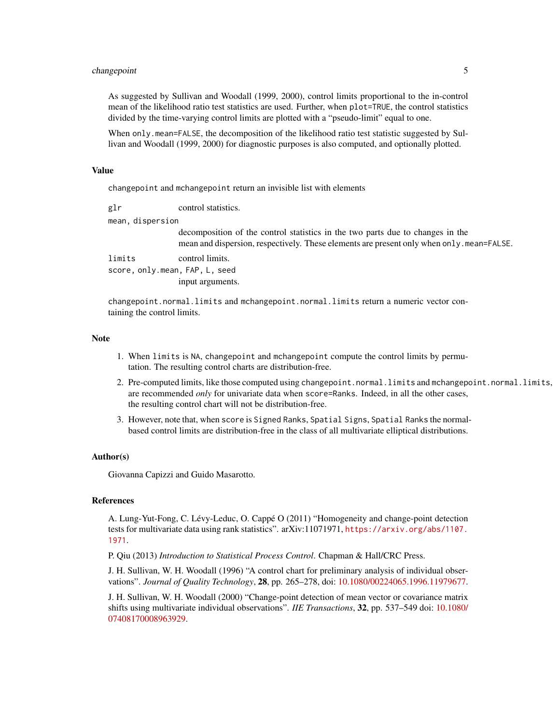# changepoint 5

As suggested by Sullivan and Woodall (1999, 2000), control limits proportional to the in-control mean of the likelihood ratio test statistics are used. Further, when plot=TRUE, the control statistics divided by the time-varying control limits are plotted with a "pseudo-limit" equal to one.

When only.mean=FALSE, the decomposition of the likelihood ratio test statistic suggested by Sullivan and Woodall (1999, 2000) for diagnostic purposes is also computed, and optionally plotted.

#### Value

changepoint and mchangepoint return an invisible list with elements

| glr                            | control statistics.                                                                                                                                                                   |
|--------------------------------|---------------------------------------------------------------------------------------------------------------------------------------------------------------------------------------|
| mean, dispersion               |                                                                                                                                                                                       |
|                                | decomposition of the control statistics in the two parts due to changes in the<br>mean and dispersion, respectively. These elements are present only when $\text{only}$ . mean=FALSE. |
| limits                         | control limits.                                                                                                                                                                       |
| score, only.mean, FAP, L, seed |                                                                                                                                                                                       |
|                                | input arguments.                                                                                                                                                                      |

changepoint.normal.limits and mchangepoint.normal.limits return a numeric vector containing the control limits.

#### **Note**

- 1. When limits is NA, changepoint and mchangepoint compute the control limits by permutation. The resulting control charts are distribution-free.
- 2. Pre-computed limits, like those computed using changepoint.normal.limits and mchangepoint.normal.limits, are recommended *only* for univariate data when score=Ranks. Indeed, in all the other cases, the resulting control chart will not be distribution-free.
- 3. However, note that, when score is Signed Ranks, Spatial Signs, Spatial Ranks the normalbased control limits are distribution-free in the class of all multivariate elliptical distributions.

#### Author(s)

Giovanna Capizzi and Guido Masarotto.

#### References

A. Lung-Yut-Fong, C. Lévy-Leduc, O. Cappé O (2011) "Homogeneity and change-point detection tests for multivariate data using rank statistics". arXiv:11071971, [https://arxiv.org/abs/1107.](https://arxiv.org/abs/1107.1971) [1971](https://arxiv.org/abs/1107.1971).

P. Qiu (2013) *Introduction to Statistical Process Control*. Chapman & Hall/CRC Press.

J. H. Sullivan, W. H. Woodall (1996) "A control chart for preliminary analysis of individual observations". *Journal of Quality Technology*, 28, pp. 265–278, doi: [10.1080/00224065.1996.11979677.](https://doi.org/10.1080/00224065.1996.11979677)

J. H. Sullivan, W. H. Woodall (2000) "Change-point detection of mean vector or covariance matrix shifts using multivariate individual observations". *IIE Transactions*, 32, pp. 537–549 doi: [10.1080/](https://doi.org/10.1080/07408170008963929) [07408170008963929.](https://doi.org/10.1080/07408170008963929)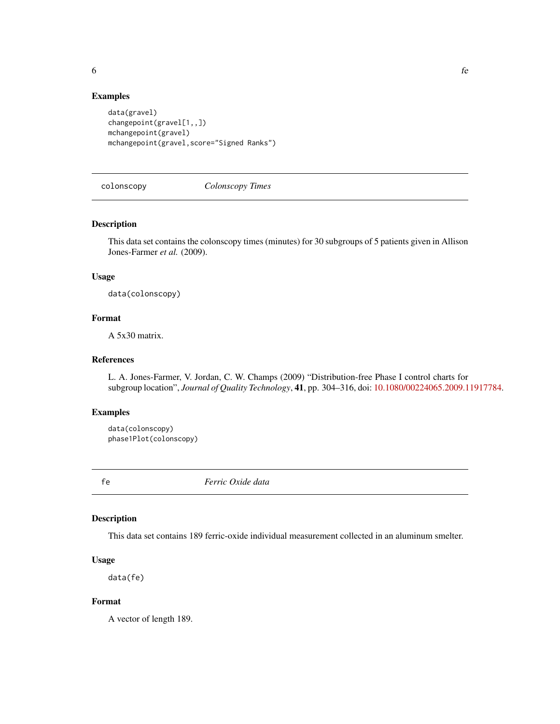<span id="page-5-0"></span>

# Examples

```
data(gravel)
changepoint(gravel[1,,])
mchangepoint(gravel)
mchangepoint(gravel,score="Signed Ranks")
```
colonscopy *Colonscopy Times*

#### Description

This data set contains the colonscopy times (minutes) for 30 subgroups of 5 patients given in Allison Jones-Farmer *et al.* (2009).

# Usage

data(colonscopy)

# Format

A 5x30 matrix.

#### References

L. A. Jones-Farmer, V. Jordan, C. W. Champs (2009) "Distribution-free Phase I control charts for subgroup location", *Journal of Quality Technology*, 41, pp. 304–316, doi: [10.1080/00224065.2009.11917784.](https://doi.org/10.1080/00224065.2009.11917784)

# Examples

```
data(colonscopy)
phase1Plot(colonscopy)
```
fe *Ferric Oxide data*

# Description

This data set contains 189 ferric-oxide individual measurement collected in an aluminum smelter.

#### Usage

data(fe)

# Format

A vector of length 189.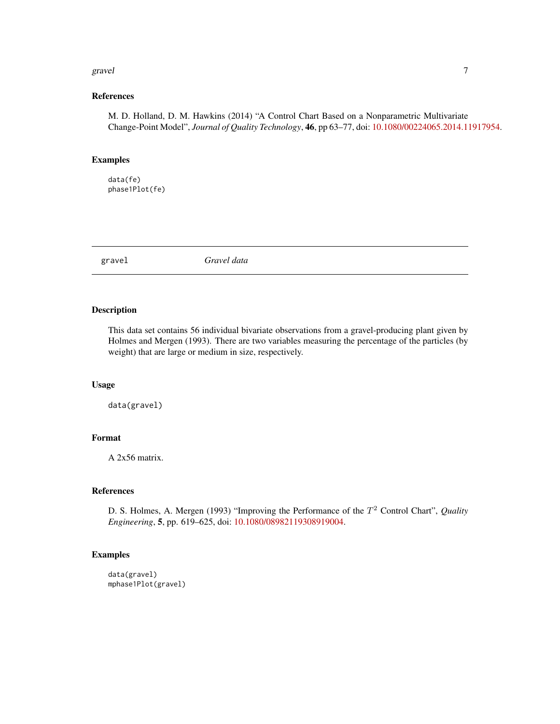#### <span id="page-6-0"></span>gravel  $\sim$  7  $\sim$  7  $\sim$  7  $\sim$  7  $\sim$  7  $\sim$  7  $\sim$  7  $\sim$  7  $\sim$  7  $\sim$  7  $\sim$  7  $\sim$  7  $\sim$  7  $\sim$  7  $\sim$  7  $\sim$  7  $\sim$  7  $\sim$  7  $\sim$  7  $\sim$  7  $\sim$  7  $\sim$  7  $\sim$  7  $\sim$  7  $\sim$  7  $\sim$  7  $\sim$  7  $\sim$  7  $\sim$  7  $\sim$  7  $\sim$

# References

M. D. Holland, D. M. Hawkins (2014) "A Control Chart Based on a Nonparametric Multivariate Change-Point Model", *Journal of Quality Technology*, 46, pp 63–77, doi: [10.1080/00224065.2014.11917954.](https://doi.org/10.1080/00224065.2014.11917954)

# Examples

data(fe) phase1Plot(fe)

gravel *Gravel data*

### Description

This data set contains 56 individual bivariate observations from a gravel-producing plant given by Holmes and Mergen (1993). There are two variables measuring the percentage of the particles (by weight) that are large or medium in size, respectively.

#### Usage

data(gravel)

# Format

A 2x56 matrix.

# References

D. S. Holmes, A. Mergen (1993) "Improving the Performance of the T <sup>2</sup> Control Chart", *Quality Engineering*, 5, pp. 619–625, doi: [10.1080/08982119308919004.](https://doi.org/10.1080/08982119308919004)

```
data(gravel)
mphase1Plot(gravel)
```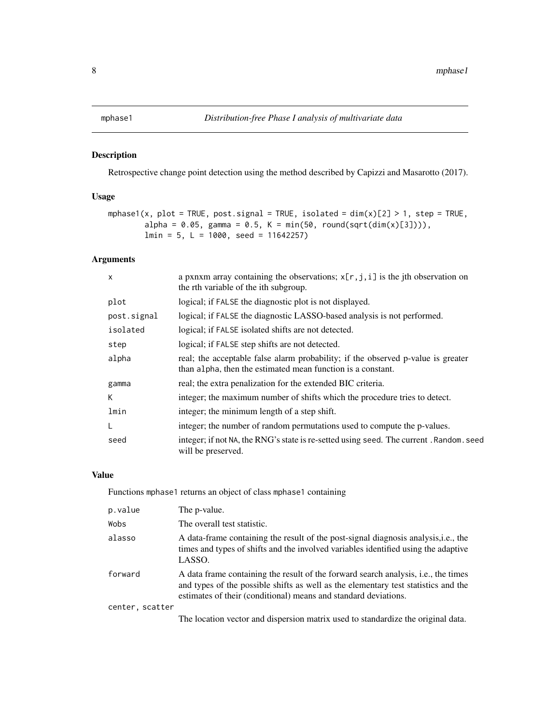<span id="page-7-1"></span><span id="page-7-0"></span>

# Description

Retrospective change point detection using the method described by Capizzi and Masarotto (2017).

# Usage

```
mphase1(x, plot = TRUE, post.signal = TRUE, isolated = dim(x)[2] > 1, step = TRUE,
        alpha = 0.05, gamma = 0.5, K = min(50, round(sqrt(dim(x)[3]))),
        lmin = 5, L = 1000, seed = 11642257)
```
# Arguments

| $\times$    | a pxnxm array containing the observations; $x[r, j, i]$ is the jth observation on<br>the rth variable of the <i>i</i> th subgroup.              |
|-------------|-------------------------------------------------------------------------------------------------------------------------------------------------|
| plot        | logical; if FALSE the diagnostic plot is not displayed.                                                                                         |
| post.signal | logical; if FALSE the diagnostic LASSO-based analysis is not performed.                                                                         |
| isolated    | logical; if FALSE isolated shifts are not detected.                                                                                             |
| step        | logical; if FALSE step shifts are not detected.                                                                                                 |
| alpha       | real; the acceptable false alarm probability; if the observed p-value is greater<br>than alpha, then the estimated mean function is a constant. |
| gamma       | real; the extra penalization for the extended BIC criteria.                                                                                     |
| К           | integer; the maximum number of shifts which the procedure tries to detect.                                                                      |
| lmin        | integer; the minimum length of a step shift.                                                                                                    |
| L           | integer; the number of random permutations used to compute the p-values.                                                                        |
| seed        | integer; if not NA, the RNG's state is re-setted using seed. The current . Random. seed<br>will be preserved.                                   |

#### Value

Functions mphase1 returns an object of class mphase1 containing

| p.value         | The p-value.                                                                                                                                                                                                                                        |
|-----------------|-----------------------------------------------------------------------------------------------------------------------------------------------------------------------------------------------------------------------------------------------------|
| Wobs            | The overall test statistic.                                                                                                                                                                                                                         |
| alasso          | A data-frame containing the result of the post-signal diagnosis analysis, i.e., the<br>times and types of shifts and the involved variables identified using the adaptive<br>LASSO.                                                                 |
| forward         | A data frame containing the result of the forward search analysis, <i>i.e.</i> , the times<br>and types of the possible shifts as well as the elementary test statistics and the<br>estimates of their (conditional) means and standard deviations. |
| center, scatter |                                                                                                                                                                                                                                                     |
|                 | The location vector and dispersion matrix used to standardize the original data.                                                                                                                                                                    |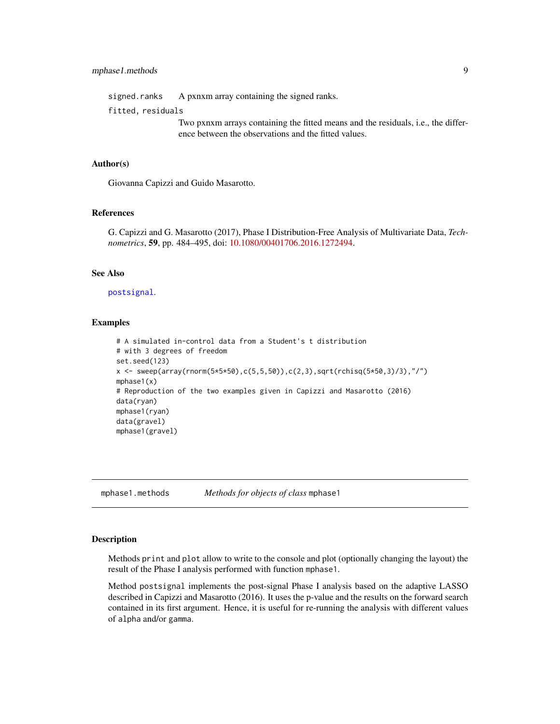<span id="page-8-0"></span>

|                   | signed.ranks A pxnxm array containing the signed ranks. |  |  |  |          |
|-------------------|---------------------------------------------------------|--|--|--|----------|
| fitted, residuals |                                                         |  |  |  |          |
|                   |                                                         |  |  |  | $\cdots$ |

Two pxnxm arrays containing the fitted means and the residuals, i.e., the difference between the observations and the fitted values.

#### Author(s)

Giovanna Capizzi and Guido Masarotto.

# References

G. Capizzi and G. Masarotto (2017), Phase I Distribution-Free Analysis of Multivariate Data, *Technometrics*, 59, pp. 484–495, doi: [10.1080/00401706.2016.1272494.](https://doi.org/10.1080/00401706.2016.1272494)

#### See Also

#### [postsignal](#page-8-1).

# Examples

```
# A simulated in-control data from a Student's t distribution
# with 3 degrees of freedom
set.seed(123)
x \leq - sweep(array(rnorm(5*5*50),c(5,5,50)),c(2,3),sqrt(rchisq(5*50,3)/3),"/")
mphase1(x)
# Reproduction of the two examples given in Capizzi and Masarotto (2016)
data(ryan)
mphase1(ryan)
data(gravel)
mphase1(gravel)
```
mphase1.methods *Methods for objects of class* mphase1

#### <span id="page-8-1"></span>Description

Methods print and plot allow to write to the console and plot (optionally changing the layout) the result of the Phase I analysis performed with function mphase1.

Method postsignal implements the post-signal Phase I analysis based on the adaptive LASSO described in Capizzi and Masarotto (2016). It uses the p-value and the results on the forward search contained in its first argument. Hence, it is useful for re-running the analysis with different values of alpha and/or gamma.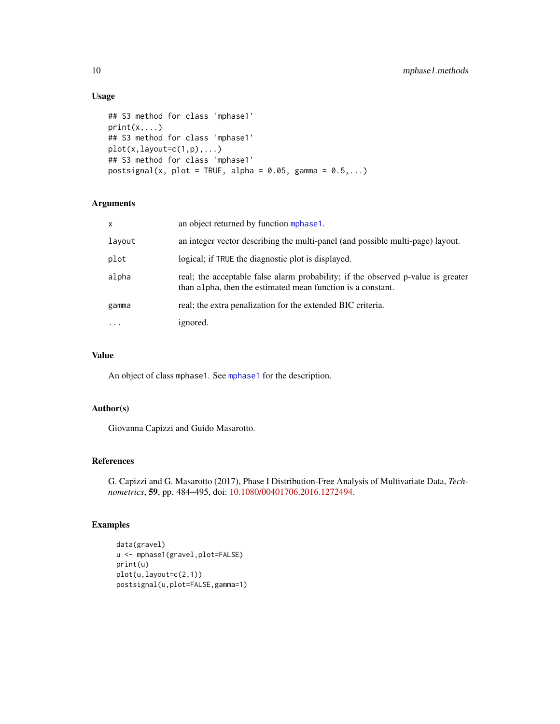# Usage

```
## S3 method for class 'mphase1'
print(x, \ldots)## S3 method for class 'mphase1'
plot(x, layout=c(1,p),...)## S3 method for class 'mphase1'
postsignal(x, plot = TRUE, alpha = 0.05, gamma = 0.5,...)
```
# Arguments

| $\mathsf{x}$ | an object returned by function mphase1.                                                                                                         |
|--------------|-------------------------------------------------------------------------------------------------------------------------------------------------|
| layout       | an integer vector describing the multi-panel (and possible multi-page) layout.                                                                  |
| plot         | logical; if TRUE the diagnostic plot is displayed.                                                                                              |
| alpha        | real; the acceptable false alarm probability; if the observed p-value is greater<br>than alpha, then the estimated mean function is a constant. |
| gamma        | real; the extra penalization for the extended BIC criteria.                                                                                     |
| $\cdots$     | ignored.                                                                                                                                        |

# Value

An object of class mphase1. See [mphase1](#page-7-1) for the description.

# Author(s)

Giovanna Capizzi and Guido Masarotto.

# References

G. Capizzi and G. Masarotto (2017), Phase I Distribution-Free Analysis of Multivariate Data, *Technometrics*, 59, pp. 484–495, doi: [10.1080/00401706.2016.1272494.](https://doi.org/10.1080/00401706.2016.1272494)

```
data(gravel)
u <- mphase1(gravel,plot=FALSE)
print(u)
plot(u,layout=c(2,1))
postsignal(u,plot=FALSE,gamma=1)
```
<span id="page-9-0"></span>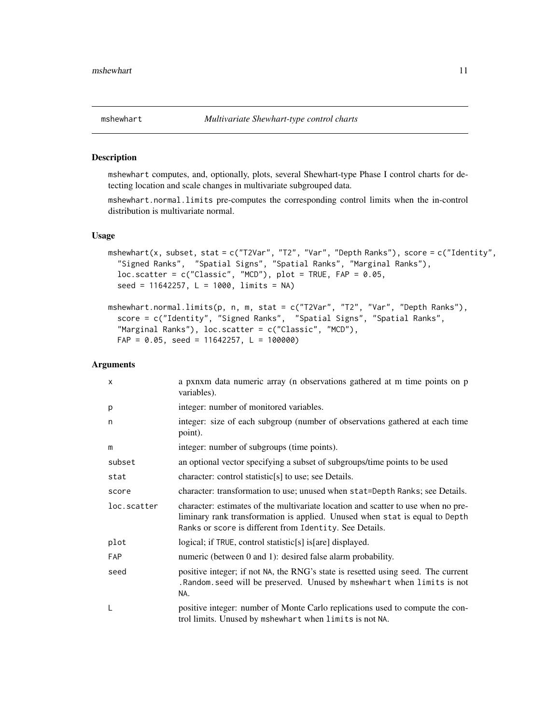<span id="page-10-1"></span><span id="page-10-0"></span>

#### <span id="page-10-2"></span>Description

mshewhart computes, and, optionally, plots, several Shewhart-type Phase I control charts for detecting location and scale changes in multivariate subgrouped data.

mshewhart.normal.limits pre-computes the corresponding control limits when the in-control distribution is multivariate normal.

#### Usage

```
mshewhart(x, subset, stat = c("T2Var", "T2", "Var", "Depth Ranks"), score = c("Identity",
  "Signed Ranks", "Spatial Signs", "Spatial Ranks", "Marginal Ranks"),
  loc.scatter = c("Classic", "MCD"), plot = TRUE, FAP = 0.05,
  seed = 11642257, L = 1000, limits = NA)
mshewhart.normal.limits(p, n, m, stat = c("T2Var", "T2", "Var", "Depth Ranks"),
  score = c("Identity", "Signed Ranks", "Spatial Signs", "Spatial Ranks",
```

```
"Marginal Ranks"), loc.scatter = c("Classic", "MCD"),
FAP = 0.05, seed = 11642257, L = 100000)
```
#### Arguments

| $\times$    | a pxnxm data numeric array (n observations gathered at m time points on p<br>variables).                                                                                                                                    |
|-------------|-----------------------------------------------------------------------------------------------------------------------------------------------------------------------------------------------------------------------------|
| p           | integer: number of monitored variables.                                                                                                                                                                                     |
| n           | integer: size of each subgroup (number of observations gathered at each time<br>point).                                                                                                                                     |
| m           | integer: number of subgroups (time points).                                                                                                                                                                                 |
| subset      | an optional vector specifying a subset of subgroups/time points to be used                                                                                                                                                  |
| stat        | character: control statistic <sup>[s]</sup> to use; see Details.                                                                                                                                                            |
| score       | character: transformation to use; unused when stat=Depth Ranks; see Details.                                                                                                                                                |
| loc.scatter | character: estimates of the multivariate location and scatter to use when no pre-<br>liminary rank transformation is applied. Unused when stat is equal to Depth<br>Ranks or score is different from Identity. See Details. |
| plot        | logical; if TRUE, control statistic[s] is[are] displayed.                                                                                                                                                                   |
| FAP         | numeric (between 0 and 1): desired false alarm probability.                                                                                                                                                                 |
| seed        | positive integer; if not NA, the RNG's state is resetted using seed. The current<br>. Random. seed will be preserved. Unused by mshewhart when limits is not<br>NA.                                                         |
| L           | positive integer: number of Monte Carlo replications used to compute the con-<br>trol limits. Unused by mshewhart when limits is not NA.                                                                                    |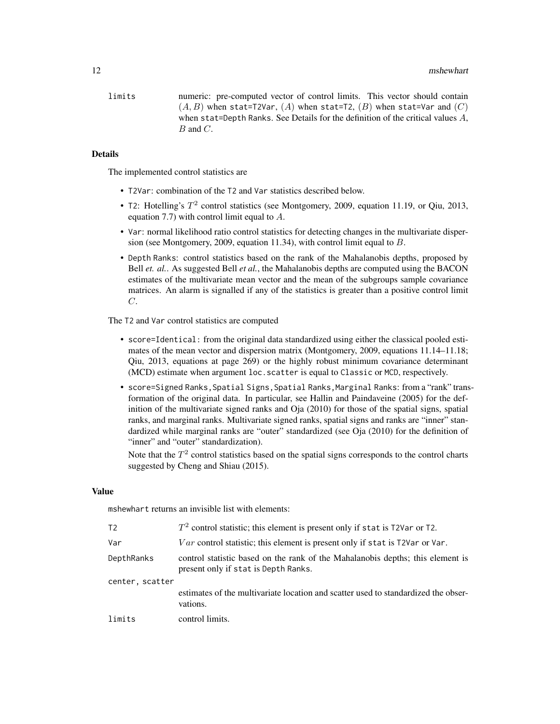limits numeric: pre-computed vector of control limits. This vector should contain  $(A, B)$  when stat=T2Var,  $(A)$  when stat=T2,  $(B)$  when stat=Var and  $(C)$ when stat=Depth Ranks. See Details for the definition of the critical values A,  $B$  and  $C$ .

#### Details

The implemented control statistics are

- T2Var: combination of the T2 and Var statistics described below.
- T2: Hotelling's  $T^2$  control statistics (see Montgomery, 2009, equation 11.19, or Qiu, 2013, equation 7.7) with control limit equal to A.
- Var: normal likelihood ratio control statistics for detecting changes in the multivariate dispersion (see Montgomery, 2009, equation 11.34), with control limit equal to  $B$ .
- Depth Ranks: control statistics based on the rank of the Mahalanobis depths, proposed by Bell *et. al.*. As suggested Bell *et al.*, the Mahalanobis depths are computed using the BACON estimates of the multivariate mean vector and the mean of the subgroups sample covariance matrices. An alarm is signalled if any of the statistics is greater than a positive control limit C.

The T2 and Var control statistics are computed

- score=Identical: from the original data standardized using either the classical pooled estimates of the mean vector and dispersion matrix (Montgomery, 2009, equations 11.14–11.18; Qiu, 2013, equations at page 269) or the highly robust minimum covariance determinant (MCD) estimate when argument loc.scatter is equal to Classic or MCD, respectively.
- score=Signed Ranks, Spatial Signs, Spatial Ranks, Marginal Ranks: from a "rank" transformation of the original data. In particular, see Hallin and Paindaveine (2005) for the definition of the multivariate signed ranks and Oja (2010) for those of the spatial signs, spatial ranks, and marginal ranks. Multivariate signed ranks, spatial signs and ranks are "inner" standardized while marginal ranks are "outer" standardized (see Oja (2010) for the definition of "inner" and "outer" standardization).

Note that the  $T^2$  control statistics based on the spatial signs corresponds to the control charts suggested by Cheng and Shiau (2015).

#### Value

mshewhart returns an invisible list with elements:

| T <sub>2</sub>  | $T2$ control statistic; this element is present only if stat is T2Var or T2.                                           |
|-----------------|------------------------------------------------------------------------------------------------------------------------|
| Var             | <i>Var</i> control statistic; this element is present only if stat is T2Var or Var.                                    |
| DepthRanks      | control statistic based on the rank of the Mahalanobis depths; this element is<br>present only if stat is Depth Ranks. |
| center, scatter |                                                                                                                        |
|                 | estimates of the multivariate location and scatter used to standardized the obser-<br>vations.                         |
| limits          | control limits.                                                                                                        |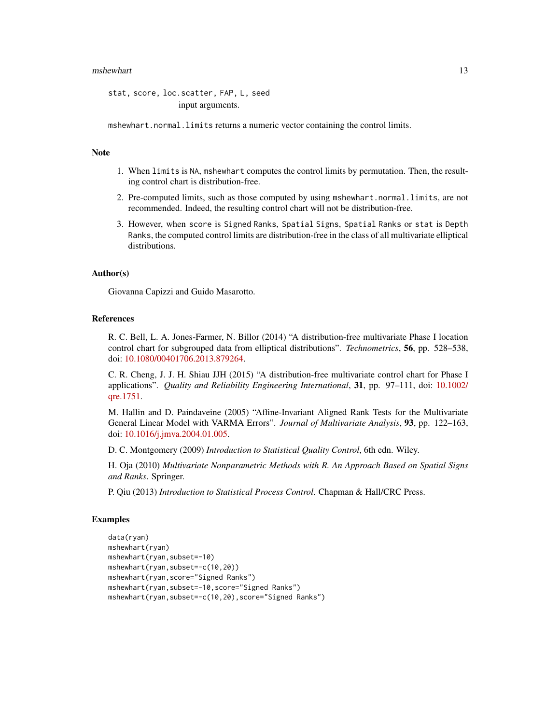#### mshewhart 13

stat, score, loc.scatter, FAP, L, seed input arguments.

mshewhart.normal.limits returns a numeric vector containing the control limits.

# **Note**

- 1. When limits is NA, mshewhart computes the control limits by permutation. Then, the resulting control chart is distribution-free.
- 2. Pre-computed limits, such as those computed by using mshewhart.normal.limits, are not recommended. Indeed, the resulting control chart will not be distribution-free.
- 3. However, when score is Signed Ranks, Spatial Signs, Spatial Ranks or stat is Depth Ranks, the computed control limits are distribution-free in the class of all multivariate elliptical distributions.

# Author(s)

Giovanna Capizzi and Guido Masarotto.

#### References

R. C. Bell, L. A. Jones-Farmer, N. Billor (2014) "A distribution-free multivariate Phase I location control chart for subgrouped data from elliptical distributions". *Technometrics*, 56, pp. 528–538, doi: [10.1080/00401706.2013.879264.](https://doi.org/10.1080/00401706.2013.879264)

C. R. Cheng, J. J. H. Shiau JJH (2015) "A distribution-free multivariate control chart for Phase I applications". *Quality and Reliability Engineering International*, 31, pp. 97–111, doi: [10.1002/](https://doi.org/10.1002/qre.1751) [qre.1751.](https://doi.org/10.1002/qre.1751)

M. Hallin and D. Paindaveine (2005) "Affine-Invariant Aligned Rank Tests for the Multivariate General Linear Model with VARMA Errors". *Journal of Multivariate Analysis*, 93, pp. 122–163, doi: [10.1016/j.jmva.2004.01.005.](https://doi.org/10.1016/j.jmva.2004.01.005)

D. C. Montgomery (2009) *Introduction to Statistical Quality Control*, 6th edn. Wiley.

H. Oja (2010) *Multivariate Nonparametric Methods with R. An Approach Based on Spatial Signs and Ranks*. Springer.

P. Qiu (2013) *Introduction to Statistical Process Control*. Chapman & Hall/CRC Press.

```
data(ryan)
mshewhart(ryan)
mshewhart(ryan,subset=-10)
mshewhart(ryan,subset=-c(10,20))
mshewhart(ryan,score="Signed Ranks")
mshewhart(ryan,subset=-10,score="Signed Ranks")
mshewhart(ryan,subset=-c(10,20),score="Signed Ranks")
```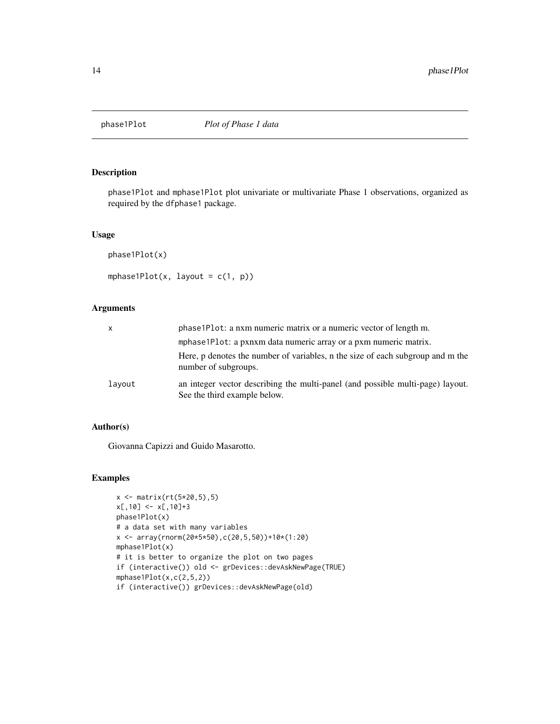<span id="page-13-1"></span><span id="page-13-0"></span>

# <span id="page-13-2"></span>Description

phase1Plot and mphase1Plot plot univariate or multivariate Phase 1 observations, organized as required by the dfphase1 package.

### Usage

```
phase1Plot(x)
```
mphase1Plot(x, layout =  $c(1, p)$ )

# Arguments

| $\mathsf{x}$ | phase1Plot: a nxm numeric matrix or a numeric vector of length m.                                              |
|--------------|----------------------------------------------------------------------------------------------------------------|
|              | mphase 1 Plot: a pxnxm data numeric array or a pxm numeric matrix.                                             |
|              | Here, p denotes the number of variables, n the size of each subgroup and m the<br>number of subgroups.         |
| lavout       | an integer vector describing the multi-panel (and possible multi-page) layout.<br>See the third example below. |

# Author(s)

Giovanna Capizzi and Guido Masarotto.

```
x <- matrix(rt(5*20,5),5)
x[,10] <- x[,10]+3
phase1Plot(x)
# a data set with many variables
x <- array(rnorm(20*5*50),c(20,5,50))+10*(1:20)
mphase1Plot(x)
# it is better to organize the plot on two pages
if (interactive()) old <- grDevices::devAskNewPage(TRUE)
mphase1Plot(x,c(2,5,2))
if (interactive()) grDevices::devAskNewPage(old)
```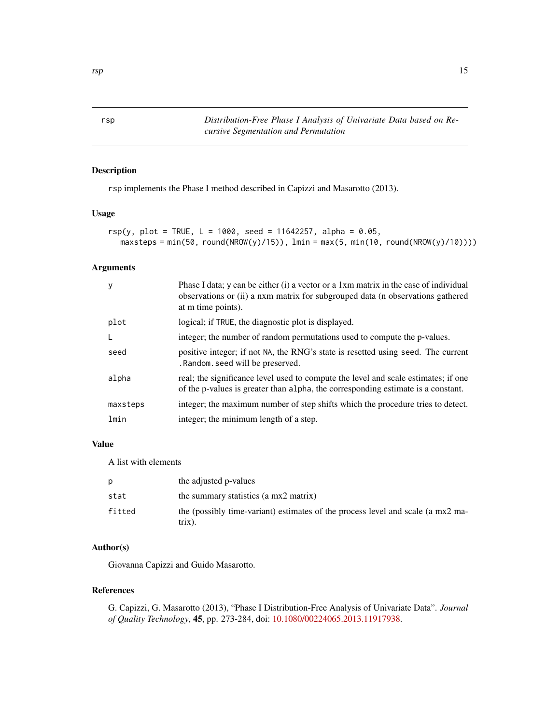<span id="page-14-1"></span><span id="page-14-0"></span>rsp *Distribution-Free Phase I Analysis of Univariate Data based on Recursive Segmentation and Permutation*

# Description

rsp implements the Phase I method described in Capizzi and Masarotto (2013).

# Usage

```
rsp(y, plot = TRUE, L = 1000, seed = 11642257, alpha = 0.05,
  maxsteps = min(50, round(NROW(y)/15)), lim = max(5, min(10, round(NROW(y)/10))))
```
# Arguments

|          | Phase I data; y can be either (i) a vector or a 1xm matrix in the case of individual<br>observations or (ii) a nxm matrix for subgrouped data (n observations gathered<br>at m time points). |
|----------|----------------------------------------------------------------------------------------------------------------------------------------------------------------------------------------------|
| plot     | logical; if TRUE, the diagnostic plot is displayed.                                                                                                                                          |
|          | integer; the number of random permutations used to compute the p-values.                                                                                                                     |
| seed     | positive integer; if not NA, the RNG's state is resetted using seed. The current<br>. Random. seed will be preserved.                                                                        |
| alpha    | real; the significance level used to compute the level and scale estimates; if one<br>of the p-values is greater than alpha, the corresponding estimate is a constant.                       |
| maxsteps | integer; the maximum number of step shifts which the procedure tries to detect.                                                                                                              |
| lmin     | integer; the minimum length of a step.                                                                                                                                                       |

# Value

A list with elements

| D      | the adjusted p-values                                                                     |
|--------|-------------------------------------------------------------------------------------------|
| stat   | the summary statistics (a mx2 matrix)                                                     |
| fitted | the (possibly time-variant) estimates of the process level and scale (a mx2 ma-<br>trix). |

# Author(s)

Giovanna Capizzi and Guido Masarotto.

# References

G. Capizzi, G. Masarotto (2013), "Phase I Distribution-Free Analysis of Univariate Data". *Journal of Quality Technology*, 45, pp. 273-284, doi: [10.1080/00224065.2013.11917938.](https://doi.org/10.1080/00224065.2013.11917938)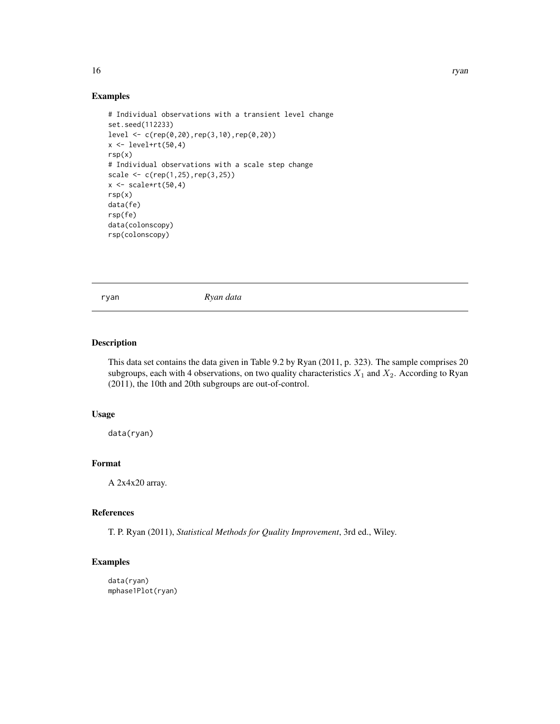#### Examples

```
# Individual observations with a transient level change
set.seed(112233)
level <- c(rep(0,20),rep(3,10),rep(0,20))
x < - level+rt(50,4)
rsp(x)
# Individual observations with a scale step change
scale <- c(rep(1,25),rep(3,25))
x \leftarrow scale*rt(50, 4)rsp(x)
data(fe)
rsp(fe)
data(colonscopy)
rsp(colonscopy)
```
ryan *Ryan data*

# Description

This data set contains the data given in Table 9.2 by Ryan (2011, p. 323). The sample comprises 20 subgroups, each with 4 observations, on two quality characteristics  $X_1$  and  $X_2$ . According to Ryan (2011), the 10th and 20th subgroups are out-of-control.

#### Usage

data(ryan)

# Format

A 2x4x20 array.

# References

T. P. Ryan (2011), *Statistical Methods for Quality Improvement*, 3rd ed., Wiley.

#### Examples

data(ryan) mphase1Plot(ryan)

<span id="page-15-0"></span>16 ryan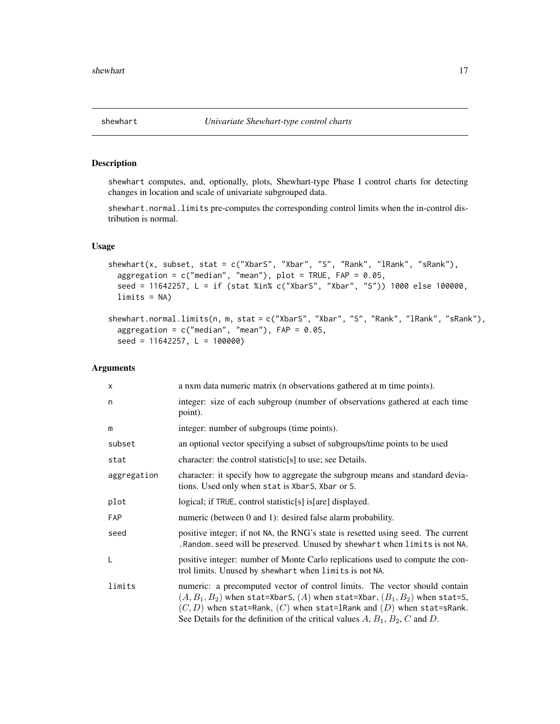#### <span id="page-16-2"></span><span id="page-16-1"></span><span id="page-16-0"></span>Description

shewhart computes, and, optionally, plots, Shewhart-type Phase I control charts for detecting changes in location and scale of univariate subgrouped data.

shewhart.normal.limits pre-computes the corresponding control limits when the in-control distribution is normal.

# Usage

```
shewhart(x, subset, stat = c("XbarS", "Xbar", "S", "Rank", "lRank", "sRank"),
  aggregation = c("median", "mean"), plot = TRUE, FAP = 0.05,
 seed = 11642257, L = if (stat %in% c("XbarS", "Xbar", "S")) 1000 else 100000,
 limits = NA)
```

```
shewhart.normal.limits(n, m, stat = c("XbarS", "Xbar", "S", "Rank", "lRank", "sRank"),
  aggregation = c("median", "mean"), FAP = 0.05,seed = 11642257, L = 100000
```
# Arguments

| $\times$    | a nxm data numeric matrix (n observations gathered at m time points).                                                                                                                                                                                                                                                    |
|-------------|--------------------------------------------------------------------------------------------------------------------------------------------------------------------------------------------------------------------------------------------------------------------------------------------------------------------------|
| n           | integer: size of each subgroup (number of observations gathered at each time<br>point).                                                                                                                                                                                                                                  |
| m           | integer: number of subgroups (time points).                                                                                                                                                                                                                                                                              |
| subset      | an optional vector specifying a subset of subgroups/time points to be used                                                                                                                                                                                                                                               |
| stat        | character: the control statistic $[s]$ to use; see Details.                                                                                                                                                                                                                                                              |
| aggregation | character: it specify how to aggregate the subgroup means and standard devia-<br>tions. Used only when stat is XbarS, Xbar or S.                                                                                                                                                                                         |
| plot        | logical; if TRUE, control statistic[s] is[are] displayed.                                                                                                                                                                                                                                                                |
| FAP         | numeric (between 0 and 1): desired false alarm probability.                                                                                                                                                                                                                                                              |
| seed        | positive integer; if not NA, the RNG's state is resetted using seed. The current<br>. Random. seed will be preserved. Unused by shewhart when limits is not NA.                                                                                                                                                          |
| L           | positive integer: number of Monte Carlo replications used to compute the con-<br>trol limits. Unused by shewhart when limits is not NA.                                                                                                                                                                                  |
| limits      | numeric: a precomputed vector of control limits. The vector should contain<br>$(A, B1, B2)$ when stat=XbarS, $(A)$ when stat=Xbar, $(B1, B2)$ when stat=S,<br>$(C, D)$ when stat=Rank, $(C)$ when stat=1Rank and $(D)$ when stat=sRank.<br>See Details for the definition of the critical values $A, B_1, B_2, C$ and D. |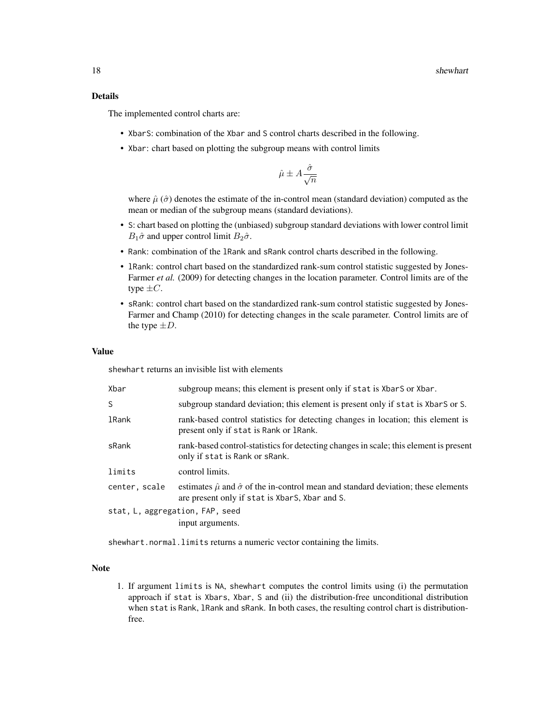# Details

The implemented control charts are:

- XbarS: combination of the Xbar and S control charts described in the following.
- Xbar: chart based on plotting the subgroup means with control limits

$$
\hat{\mu} \pm A \frac{\hat{\sigma}}{\sqrt{n}}
$$

where  $\hat{\mu}(\hat{\sigma})$  denotes the estimate of the in-control mean (standard deviation) computed as the mean or median of the subgroup means (standard deviations).

- S: chart based on plotting the (unbiased) subgroup standard deviations with lower control limit  $B_1\hat{\sigma}$  and upper control limit  $B_2\hat{\sigma}$ .
- Rank: combination of the lRank and sRank control charts described in the following.
- lRank: control chart based on the standardized rank-sum control statistic suggested by Jones-Farmer *et al.* (2009) for detecting changes in the location parameter. Control limits are of the type  $\pm C$ .
- sRank: control chart based on the standardized rank-sum control statistic suggested by Jones-Farmer and Champ (2010) for detecting changes in the scale parameter. Control limits are of the type  $\pm D$ .

# Value

shewhart returns an invisible list with elements

| Xbar                            | subgroup means; this element is present only if stat is XbarS or Xbar.                                                                                   |  |
|---------------------------------|----------------------------------------------------------------------------------------------------------------------------------------------------------|--|
| S                               | subgroup standard deviation; this element is present only if stat is XbarS or S.                                                                         |  |
| lRank                           | rank-based control statistics for detecting changes in location; this element is<br>present only if stat is Rank or 1 Rank.                              |  |
| sRank                           | rank-based control-statistics for detecting changes in scale; this element is present<br>only if stat is Rank or sRank.                                  |  |
| limits                          | control limits.                                                                                                                                          |  |
| center, scale                   | estimates $\hat{\mu}$ and $\hat{\sigma}$ of the in-control mean and standard deviation; these elements<br>are present only if stat is XbarS, Xbar and S. |  |
| stat, L, aggregation, FAP, seed |                                                                                                                                                          |  |
|                                 | input arguments.                                                                                                                                         |  |
|                                 |                                                                                                                                                          |  |

shewhart.normal.limits returns a numeric vector containing the limits.

#### Note

1. If argument limits is NA, shewhart computes the control limits using (i) the permutation approach if stat is Xbars, Xbar, S and (ii) the distribution-free unconditional distribution when stat is Rank, lRank and sRank. In both cases, the resulting control chart is distributionfree.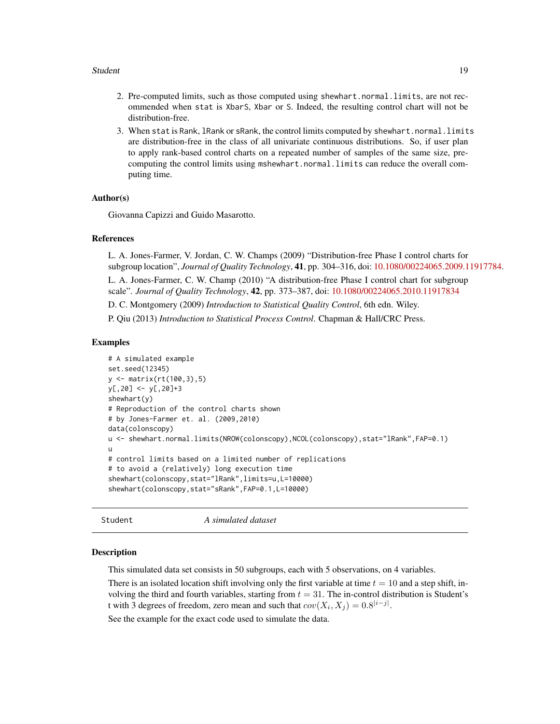#### <span id="page-18-0"></span>Student 2008 and 2008 and 2008 and 2008 and 2008 and 2008 and 2008 and 2008 and 2008 and 2008 and 2008 and 200

- 2. Pre-computed limits, such as those computed using shewhart.normal.limits, are not recommended when stat is XbarS, Xbar or S. Indeed, the resulting control chart will not be distribution-free.
- 3. When stat is Rank, lRank or sRank, the control limits computed by shewhart.normal.limits are distribution-free in the class of all univariate continuous distributions. So, if user plan to apply rank-based control charts on a repeated number of samples of the same size, precomputing the control limits using mshewhart.normal.limits can reduce the overall computing time.

# Author(s)

Giovanna Capizzi and Guido Masarotto.

#### References

L. A. Jones-Farmer, V. Jordan, C. W. Champs (2009) "Distribution-free Phase I control charts for subgroup location", *Journal of Quality Technology*, 41, pp. 304–316, doi: [10.1080/00224065.2009.11917784.](https://doi.org/10.1080/00224065.2009.11917784)

L. A. Jones-Farmer, C. W. Champ (2010) "A distribution-free Phase I control chart for subgroup scale". *Journal of Quality Technology*, 42, pp. 373–387, doi: [10.1080/00224065.2010.11917834](https://doi.org/10.1080/00224065.2010.11917834)

D. C. Montgomery (2009) *Introduction to Statistical Quality Control*, 6th edn. Wiley.

P. Qiu (2013) *Introduction to Statistical Process Control*. Chapman & Hall/CRC Press.

#### Examples

```
# A simulated example
set.seed(12345)
y <- matrix(rt(100,3),5)
y[,20] <- y[,20]+3
shewhart(y)
# Reproduction of the control charts shown
# by Jones-Farmer et. al. (2009,2010)
data(colonscopy)
u <- shewhart.normal.limits(NROW(colonscopy),NCOL(colonscopy),stat="lRank",FAP=0.1)
u
# control limits based on a limited number of replications
# to avoid a (relatively) long execution time
shewhart(colonscopy,stat="lRank",limits=u,L=10000)
shewhart(colonscopy,stat="sRank",FAP=0.1,L=10000)
```
Student *A simulated dataset*

#### **Description**

This simulated data set consists in 50 subgroups, each with 5 observations, on 4 variables.

There is an isolated location shift involving only the first variable at time  $t = 10$  and a step shift, involving the third and fourth variables, starting from  $t = 31$ . The in-control distribution is Student's t with 3 degrees of freedom, zero mean and such that  $cov(X_i, X_j) = 0.8^{|i-j|}$ .

See the example for the exact code used to simulate the data.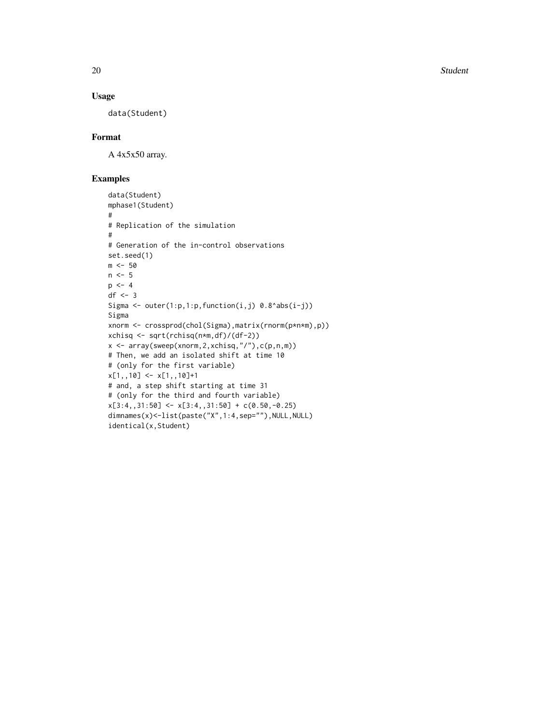20 Student Section 20 Student Student Student Student Student Student Student Student Student Student Student

# Usage

data(Student)

# Format

A 4x5x50 array.

```
data(Student)
mphase1(Student)
#
# Replication of the simulation
#
# Generation of the in-control observations
set.seed(1)
m < -50n < -5p \le -4df \leftarrow 3Sigma \leq outer(1:p,1:p,function(i,j) 0.8^abs(i-j))
Sigma
xnorm <- crossprod(chol(Sigma),matrix(rnorm(p*n*m),p))
xchisq <- sqrt(rchisq(n*m,df)/(df-2))
x <- array(sweep(xnorm,2,xchisq,"/"),c(p,n,m))
# Then, we add an isolated shift at time 10
# (only for the first variable)
x[1,10] <- x[1,10]+# and, a step shift starting at time 31
# (only for the third and fourth variable)
x[3:4, 31:50] <- x[3:4, 31:50] + c(0.50, -0.25)dimnames(x)<-list(paste("X",1:4,sep=""),NULL,NULL)
identical(x,Student)
```